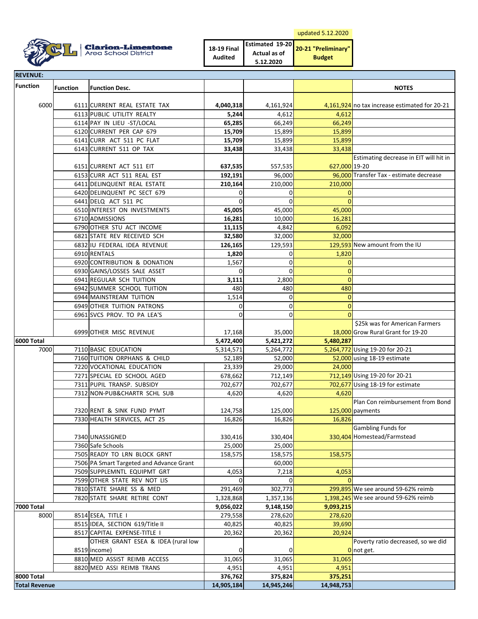| updated 5.12.2020 |
|-------------------|
|-------------------|



| <b>18-19 Final</b> | Estimated 19-20 | 20-21 "Preliminary" |
|--------------------|-----------------|---------------------|
| <b>Audited</b>     | Actual as of    |                     |
|                    | 5.12.2020       | <b>Budget</b>       |

| <b>REVENUE:</b>                                 |                 |                                                           |                        |                        |                                 |                                                                     |
|-------------------------------------------------|-----------------|-----------------------------------------------------------|------------------------|------------------------|---------------------------------|---------------------------------------------------------------------|
| <b>Function</b>                                 | <b>Function</b> | <b>Function Desc.</b>                                     |                        |                        |                                 | <b>NOTES</b>                                                        |
| 6000                                            |                 | 6111 CURRENT REAL ESTATE TAX                              | 4,040,318              | 4,161,924              |                                 | 4,161,924 no tax increase estimated for 20-21                       |
|                                                 |                 | 6113 PUBLIC UTILITY REALTY                                | 5,244                  | 4,612                  | 4,612                           |                                                                     |
|                                                 |                 | 6114 PAY IN LIEU -ST/LOCAL                                | 65,285                 | 66,249                 | 66,249                          |                                                                     |
|                                                 |                 | 6120 CURRENT PER CAP 679                                  | 15,709                 | 15,899                 | 15,899                          |                                                                     |
|                                                 |                 | 6141 CURR ACT 511 PC FLAT                                 | 15,709                 | 15,899                 | 15,899                          |                                                                     |
|                                                 |                 | 6143 CURRENT 511 OP TAX                                   | 33,438                 | 33,438                 | 33,438                          |                                                                     |
|                                                 |                 | 6151 CURRENT ACT 511 EIT                                  | 637,535                | 557,535                | 627,000 19-20                   | Estimating decrease in EIT will hit in                              |
|                                                 |                 | 6153 CURR ACT 511 REAL EST                                | 192,191                | 96,000                 |                                 | 96.000 Transfer Tax - estimate decrease                             |
|                                                 |                 | 6411 DELINQUENT REAL ESTATE                               | 210,164                | 210,000                | 210,000                         |                                                                     |
|                                                 |                 | 6420 DELINQUENT PC SECT 679                               | $\Omega$               | 0                      | $\overline{0}$                  |                                                                     |
|                                                 |                 | 6441 DELQ ACT 511 PC                                      | 0                      | 0                      | $\mathbf 0$                     |                                                                     |
|                                                 |                 | 6510 INTEREST ON INVESTMENTS                              | 45,005                 | 45,000                 | 45,000                          |                                                                     |
|                                                 |                 | 6710 ADMISSIONS                                           | 16,281                 | 10,000                 | 16,281                          |                                                                     |
|                                                 |                 | 6790 OTHER STU ACT INCOME                                 | 11,115                 | 4,842                  | 6,092                           |                                                                     |
|                                                 |                 | 6821 STATE REV RECEIVED SCH                               | 32,580                 | 32,000                 | 32,000                          |                                                                     |
|                                                 |                 | 6832 IU FEDERAL IDEA REVENUE                              | 126,165                | 129,593                |                                 | 129,593 New amount from the IU                                      |
|                                                 |                 | 6910 RENTALS                                              | 1,820                  | 0                      | 1,820                           |                                                                     |
|                                                 |                 | 6920 CONTRIBUTION & DONATION                              | 1,567                  | 0                      | $\mathbf 0$                     |                                                                     |
|                                                 |                 | 6930 GAINS/LOSSES SALE ASSET                              | $\Omega$               | 0                      | $\mathbf 0$                     |                                                                     |
|                                                 |                 | 6941 REGULAR SCH TUITION                                  | 3,111                  | 2,800                  | $\Omega$                        |                                                                     |
|                                                 |                 | 6942 SUMMER SCHOOL TUITION                                | 480                    | 480                    | 480                             |                                                                     |
|                                                 |                 | 6944 MAINSTREAM TUITION                                   | 1,514                  | 0                      | $\overline{0}$                  |                                                                     |
|                                                 |                 | 6949 OTHER TUITION PATRONS                                | $\Omega$               | 0                      | $\overline{0}$                  |                                                                     |
|                                                 |                 | 6961 SVCS PROV. TO PA LEA'S                               | $\Omega$               | $\mathbf 0$            | $\Omega$                        |                                                                     |
|                                                 |                 | 6999 OTHER MISC REVENUE                                   | 17,168                 | 35,000                 |                                 | \$25k was for American Farmers<br>18,000 Grow Rural Grant for 19-20 |
| <b>6000 Total</b>                               |                 |                                                           | 5,472,400              | 5,421,272              | 5,480,287                       |                                                                     |
| 7000<br>7110 BASIC EDUCATION                    |                 | 5,314,571                                                 | 5,264,772              |                        | 5,264,772 Using 19-20 for 20-21 |                                                                     |
|                                                 |                 | 7160 TUITION ORPHANS & CHILD                              | 52,189                 | 52,000                 |                                 | 52,000 using 18-19 estimate                                         |
|                                                 |                 | 7220 VOCATIONAL EDUCATION                                 | 23,339                 | 29,000                 | 24,000                          |                                                                     |
|                                                 |                 | 7271 SPECIAL ED SCHOOL AGED                               | 678,662                | 712,149                |                                 | 712,149 Using 19-20 for 20-21                                       |
|                                                 |                 | 7311 PUPIL TRANSP. SUBSIDY                                | 702,677                | 702,677                |                                 | 702,677 Using 18-19 for estimate                                    |
|                                                 |                 | 7312 NON-PUB&CHARTR SCHL SUB                              | 4,620                  | 4,620                  | 4,620                           |                                                                     |
|                                                 |                 |                                                           |                        |                        |                                 | Plan Con reimbursement from Bond                                    |
|                                                 |                 | 7320 RENT & SINK FUND PYMT                                | 124,758                | 125,000                |                                 | 125,000 payments                                                    |
|                                                 |                 | 7330 HEALTH SERVICES, ACT 25                              | 16,826                 | 16,826                 | 16,826                          |                                                                     |
|                                                 |                 |                                                           |                        |                        |                                 | Gambling Funds for                                                  |
|                                                 |                 | 7340 UNASSIGNED                                           | 330,416                | 330,404                |                                 | 330,404 Homestead/Farmstead                                         |
|                                                 |                 | 7360 Safe Schools                                         | 25,000                 | 25,000                 |                                 |                                                                     |
|                                                 |                 | 7505 READY TO LRN BLOCK GRNT                              | 158,575                | 158,575                | 158,575                         |                                                                     |
|                                                 |                 | 7506 PA Smart Targeted and Advance Grant                  |                        | 60,000                 |                                 |                                                                     |
|                                                 |                 | 7509 SUPPLEMNTL EQUIPMT GRT                               | 4,053<br>$\Omega$      | 7,218<br>$\Omega$      | 4,053<br>$\Omega$               |                                                                     |
|                                                 |                 | 7599 OTHER STATE REV NOT LIS                              |                        |                        |                                 | 299,895 We see around 59-62% reimb                                  |
|                                                 |                 | 7810 STATE SHARE SS & MED<br>7820 STATE SHARE RETIRE CONT | 291,469                | 302,773                |                                 | 1,398,245 We see around 59-62% reimb                                |
|                                                 |                 |                                                           | 1,328,868<br>9,056,022 | 1,357,136<br>9,148,150 | 9,093,215                       |                                                                     |
| <b>7000 Total</b><br>8000<br>8514 ESEA, TITLE I |                 | 279,558                                                   | 278,620                | 278,620                |                                 |                                                                     |
|                                                 |                 | 8515 IDEA, SECTION 619/Title II                           | 40,825                 | 40,825                 | 39,690                          |                                                                     |
|                                                 |                 | 8517 CAPITAL EXPENSE-TITLE I                              | 20,362                 | 20,362                 | 20,924                          |                                                                     |
|                                                 |                 | OTHER GRANT ESEA & IDEA (rural low                        |                        |                        |                                 | Poverty ratio decreased, so we did                                  |
|                                                 |                 | 8519 (income)                                             | 0                      | 0                      |                                 | Onot get.                                                           |
|                                                 |                 | 8810 MED ASSIST REIMB ACCESS                              | 31,065                 | 31,065                 | 31,065                          |                                                                     |
|                                                 |                 | 8820 MED ASSI REIMB TRANS                                 | 4,951                  | 4,951                  | 4,951                           |                                                                     |
| <b>8000 Total</b>                               |                 | 376,762                                                   | 375,824                | 375,251                |                                 |                                                                     |
| <b>Total Revenue</b>                            |                 |                                                           | 14,905,184             | 14,945,246             | 14,948,753                      |                                                                     |
|                                                 |                 |                                                           |                        |                        |                                 |                                                                     |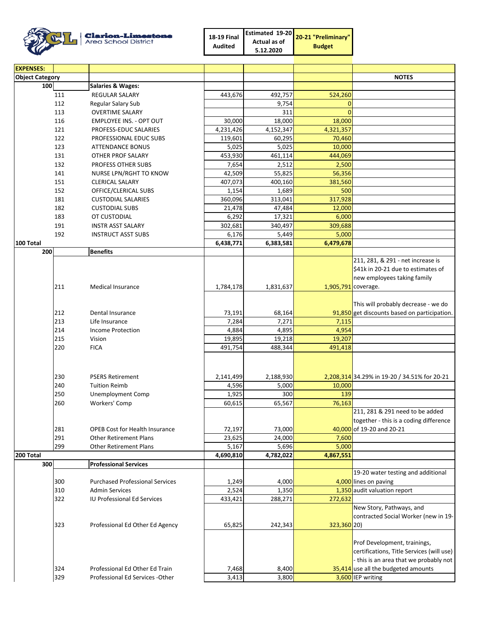Clarion-Limestone

| 18-19 Final    |              | <b>Estimated 19-20</b> 20-21 "Preliminary" |  |
|----------------|--------------|--------------------------------------------|--|
| <b>Audited</b> | Actual as of | <b>Budget</b>                              |  |
|                | 5.12.2020    |                                            |  |

| <b>EXPENSES:</b>       |            |                                        |           |           |                     |                                                                  |
|------------------------|------------|----------------------------------------|-----------|-----------|---------------------|------------------------------------------------------------------|
| <b>Object Category</b> |            |                                        |           |           |                     | <b>NOTES</b>                                                     |
| 100                    |            | <b>Salaries &amp; Wages:</b>           |           |           |                     |                                                                  |
|                        | 111        | <b>REGULAR SALARY</b>                  | 443,676   | 492,757   | 524,260             |                                                                  |
|                        | 112        | Regular Salary Sub                     |           | 9,754     | $\Omega$            |                                                                  |
|                        | 113        | <b>OVERTIME SALARY</b>                 |           | 311       | $\Omega$            |                                                                  |
|                        | 116        | <b>EMPLOYEE INS. - OPT OUT</b>         | 30,000    | 18,000    | 18,000              |                                                                  |
|                        | 121        | PROFESS-EDUC SALARIES                  | 4,231,426 | 4,152,347 | 4,321,357           |                                                                  |
|                        | 122        | PROFESSIONAL EDUC SUBS                 | 119,601   | 60,295    | 70,460              |                                                                  |
|                        | 123        | <b>ATTENDANCE BONUS</b>                | 5,025     | 5,025     | 10,000              |                                                                  |
|                        | 131        | OTHER PROF SALARY                      | 453,930   | 461,114   | 444,069             |                                                                  |
|                        | 132        | PROFESS OTHER SUBS                     | 7,654     | 2,512     | 2,500               |                                                                  |
|                        | 141        | NURSE LPN/RGHT TO KNOW                 | 42,509    | 55.825    | 56,356              |                                                                  |
|                        | 151        | <b>CLERICAL SALARY</b>                 | 407,073   | 400,160   | 381,560             |                                                                  |
|                        | 152        | OFFICE/CLERICAL SUBS                   | 1,154     | 1,689     | 500                 |                                                                  |
|                        | 181        | <b>CUSTODIAL SALARIES</b>              | 360,096   | 313,041   | 317,928             |                                                                  |
|                        | 182        | <b>CUSTODIAL SUBS</b>                  | 21,478    | 47,484    | 12,000              |                                                                  |
|                        | 183        | OT CUSTODIAL                           | 6,292     | 17,321    | 6,000               |                                                                  |
|                        | 191        | <b>INSTR ASST SALARY</b>               | 302,681   | 340,497   | 309,688             |                                                                  |
|                        | 192        | <b>INSTRUCT ASST SUBS</b>              | 6,176     | 5,449     | 5,000               |                                                                  |
| 100 Total              |            |                                        | 6,438,771 | 6,383,581 | 6,479,678           |                                                                  |
| 200                    |            | <b>Benefits</b>                        |           |           |                     |                                                                  |
|                        |            |                                        |           |           |                     | 211, 281, & 291 - net increase is                                |
|                        |            |                                        |           |           |                     | \$41k in 20-21 due to estimates of                               |
|                        |            |                                        |           |           |                     | new employees taking family                                      |
|                        | 211        | <b>Medical Insurance</b>               | 1,784,178 | 1,831,637 | 1,905,791 coverage. |                                                                  |
|                        |            |                                        |           |           |                     |                                                                  |
|                        |            |                                        |           |           |                     | This will probably decrease - we do                              |
|                        | 212        | Dental Insurance                       | 73,191    | 68,164    |                     | 91,850 get discounts based on participation.                     |
|                        | 213        | Life Insurance                         | 7,284     | 7,271     | 7,115               |                                                                  |
|                        | 214        | <b>Income Protection</b>               | 4,884     | 4,895     | 4,954               |                                                                  |
|                        | 215        | Vision                                 | 19,895    | 19,218    | 19,207              |                                                                  |
|                        | 220        | <b>FICA</b>                            | 491,754   | 488,344   | 491,418             |                                                                  |
|                        |            |                                        |           |           |                     |                                                                  |
|                        |            |                                        |           |           |                     |                                                                  |
|                        | 230        | <b>PSERS Retirement</b>                | 2,141,499 | 2,188,930 |                     | 2,208,314 34.29% in 19-20 / 34.51% for 20-21                     |
|                        | 240        | <b>Tuition Reimb</b>                   | 4,596     | 5,000     | 10,000              |                                                                  |
|                        | 250        | <b>Unemployment Comp</b>               | 1,925     | 300       | 139                 |                                                                  |
|                        | 260        | Workers' Comp                          | 60,615    | 65,567    | 76,163              |                                                                  |
|                        |            |                                        |           |           |                     | 211, 281 & 291 need to be added                                  |
|                        |            |                                        |           |           |                     | together - this is a coding difference                           |
|                        | 281        | <b>OPEB Cost for Health Insurance</b>  | 72,197    | 73,000    |                     | 40,000 of 19-20 and 20-21                                        |
|                        | 291        | <b>Other Retirement Plans</b>          | 23,625    | 24,000    | 7,600               |                                                                  |
|                        | 299        | <b>Other Retirement Plans</b>          | 5,167     | 5,696     | 5,000               |                                                                  |
| 200 Total              |            |                                        | 4,690,810 | 4,782,022 | 4,867,551           |                                                                  |
| 300                    |            | <b>Professional Services</b>           |           |           |                     |                                                                  |
|                        |            |                                        |           |           |                     | 19-20 water testing and additional                               |
|                        | 300        | <b>Purchased Professional Services</b> | 1,249     | 4,000     |                     | 4,000 lines on paving                                            |
|                        | 310<br>322 | <b>Admin Services</b>                  | 2,524     | 1,350     |                     | 1,350 audit valuation report                                     |
|                        |            | <b>IU Professional Ed Services</b>     | 433,421   | 288,271   | 272,632             |                                                                  |
|                        |            |                                        |           |           |                     | New Story, Pathways, and<br>contracted Social Worker (new in 19- |
|                        | 323        |                                        |           |           |                     |                                                                  |
|                        |            | Professional Ed Other Ed Agency        | 65,825    | 242,343   | 323,360 20)         |                                                                  |
|                        |            |                                        |           |           |                     | Prof Development, trainings,                                     |
|                        |            |                                        |           |           |                     | certifications, Title Services (will use)                        |
|                        |            |                                        |           |           |                     | - this is an area that we probably not                           |
|                        | 324        | Professional Ed Other Ed Train         | 7,468     | 8,400     |                     | 35,414 use all the budgeted amounts                              |
|                        | 329        | Professional Ed Services - Other       | 3,413     | 3,800     |                     | 3,600 IEP writing                                                |
|                        |            |                                        |           |           |                     |                                                                  |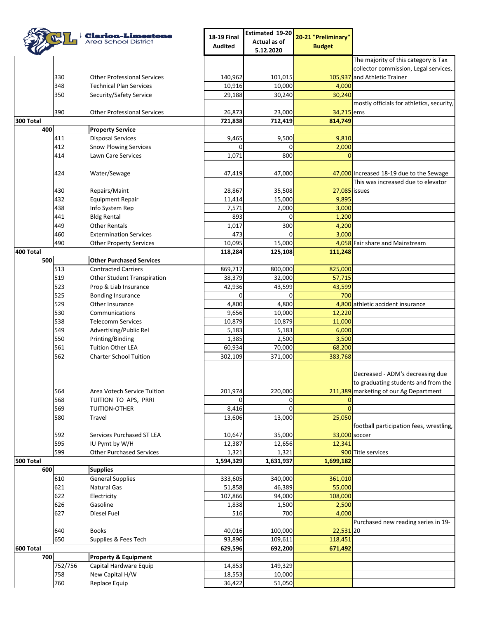|           |         | <b>Clarion-Limestone</b>           | <b>18-19 Final</b> | Estimated 19-20 | 20-21 "Preliminary" |                                           |
|-----------|---------|------------------------------------|--------------------|-----------------|---------------------|-------------------------------------------|
|           |         | Area School District               | <b>Audited</b>     | Actual as of    |                     |                                           |
|           |         |                                    |                    | 5.12.2020       | <b>Budget</b>       |                                           |
|           |         |                                    |                    |                 |                     | The majority of this category is Tax      |
|           |         |                                    |                    |                 |                     | collector commission, Legal services,     |
|           | 330     | <b>Other Professional Services</b> | 140,962            | 101,015         |                     | 105,937 and Athletic Trainer              |
|           | 348     | <b>Technical Plan Services</b>     | 10,916             | 10,000          | 4,000               |                                           |
|           | 350     | Security/Safety Service            | 29,188             | 30,240          | 30,240              |                                           |
|           |         |                                    |                    |                 |                     | mostly officials for athletics, security, |
|           | 390     | <b>Other Professional Services</b> | 26,873             | 23,000          | 34,215 ems          |                                           |
| 300 Total |         |                                    | 721,838            | 712,419         | 814,749             |                                           |
| 400       |         | <b>Property Service</b>            |                    |                 |                     |                                           |
|           | 411     | <b>Disposal Services</b>           | 9,465              | 9,500           | 9,810               |                                           |
|           | 412     | <b>Snow Plowing Services</b>       | $\Omega$           | 0               | 2,000               |                                           |
|           | 414     | Lawn Care Services                 | 1,071              | 800             | $\Omega$            |                                           |
|           |         |                                    |                    |                 |                     |                                           |
|           | 424     | Water/Sewage                       | 47,419             | 47,000          |                     | 47,000 Increased 18-19 due to the Sewage  |
|           |         |                                    |                    |                 |                     | This was increased due to elevator        |
|           | 430     | Repairs/Maint                      | 28,867             | 35,508          | 27,085 issues       |                                           |
|           | 432     | <b>Equipment Repair</b>            | 11,414             | 15,000          | 9,895               |                                           |
|           | 438     | Info System Rep                    | 7,571              | 2,000           | 3,000               |                                           |
|           | 441     | <b>Bldg Rental</b>                 | 893                | 0               | 1,200               |                                           |
|           | 449     | <b>Other Rentals</b>               | 1,017              | 300             | 4,200               |                                           |
|           | 460     | <b>Extermination Services</b>      | 473                | 0               | 3,000               |                                           |
|           | 490     | <b>Other Property Services</b>     | 10,095             | 15,000          |                     | 4,058 Fair share and Mainstream           |
| 400 Total |         |                                    | 118,284            | 125,108         | 111,248             |                                           |
| 500       |         | <b>Other Purchased Services</b>    |                    |                 |                     |                                           |
|           | 513     | <b>Contracted Carriers</b>         | 869,717            | 800,000         | 825,000             |                                           |
|           | 519     | Other Student Transpiration        | 38,379             | 32,000          | 57,715              |                                           |
|           | 523     | Prop & Liab Insurance              | 42,936             | 43,599          | 43,599              |                                           |
|           | 525     | <b>Bonding Insurance</b>           | $\Omega$           | $\Omega$        | 700                 |                                           |
|           | 529     | Other Insurance                    | 4,800              | 4,800           |                     | 4,800 athletic accident insurance         |
|           | 530     | Communications                     | 9,656              | 10,000          | 12,220              |                                           |
|           | 538     | <b>Telecomm Services</b>           | 10,879             | 10,879          | 11,000              |                                           |
|           | 549     |                                    |                    |                 |                     |                                           |
|           |         | Advertising/Public Rel             | 5,183              | 5,183           | 6,000               |                                           |
|           | 550     | Printing/Binding                   | 1,385              | 2,500           | 3,500               |                                           |
|           | 561     | <b>Tuition Other LEA</b>           | 60,934             | 70,000          | 68,200              |                                           |
|           | 562     | <b>Charter School Tuition</b>      | 302,109            | 371,000         | 383,768             |                                           |
|           |         |                                    |                    |                 |                     |                                           |
|           |         |                                    |                    |                 |                     | Decreased - ADM's decreasing due          |
|           |         |                                    |                    |                 |                     | to graduating students and from the       |
|           | 564     | Area Votech Service Tuition        | 201,974            | 220,000         |                     | 211,389 marketing of our Ag Department    |
|           | 568     | TUITION TO APS, PRRI               | 0                  | 0               | 0                   |                                           |
|           | 569     | TUITION-OTHER                      | 8,416              | $\mathbf 0$     | $\Omega$            |                                           |
|           | 580     | Travel                             | 13,606             | 13,000          | 25,050              |                                           |
|           |         |                                    |                    |                 |                     | football participation fees, wrestling,   |
|           | 592     | Services Purchased ST LEA          | 10,647             | 35,000          | 33,000 soccer       |                                           |
|           | 595     | IU Pymt by W/H                     | 12,387             | 12,656          | 12,341              |                                           |
|           | 599     | <b>Other Purchased Services</b>    | 1,321              | 1,321           |                     | 900 Title services                        |
| 500 Total |         |                                    | 1,594,329          | 1,631,937       | 1,699,182           |                                           |
| 600       |         | <b>Supplies</b>                    |                    |                 |                     |                                           |
|           | 610     | <b>General Supplies</b>            | 333,605            | 340,000         | 361,010             |                                           |
|           | 621     | Natural Gas                        | 51,858             | 46,389          | 55,000              |                                           |
|           | 622     | Electricity                        | 107,866            | 94,000          | 108,000             |                                           |
|           | 626     | Gasoline                           | 1,838              | 1,500           | 2,500               |                                           |
|           | 627     | Diesel Fuel                        | 516                | 700             | 4,000               |                                           |
|           |         |                                    |                    |                 |                     | Purchased new reading series in 19-       |
|           | 640     | <b>Books</b>                       | 40,016             | 100,000         | $22,531$ 20         |                                           |
|           | 650     | Supplies & Fees Tech               | 93,896             | 109,611         | 118,451             |                                           |
| 600 Total |         |                                    | 629,596            | 692,200         | 671,492             |                                           |
| 700       |         | <b>Property &amp; Equipment</b>    |                    |                 |                     |                                           |
|           | 752/756 | Capital Hardware Equip             | 14,853             | 149,329         |                     |                                           |
|           | 758     | New Capital H/W                    | 18,553             | 10,000          |                     |                                           |
|           | 760     | Replace Equip                      | 36,422             | 51,050          |                     |                                           |
|           |         |                                    |                    |                 |                     |                                           |